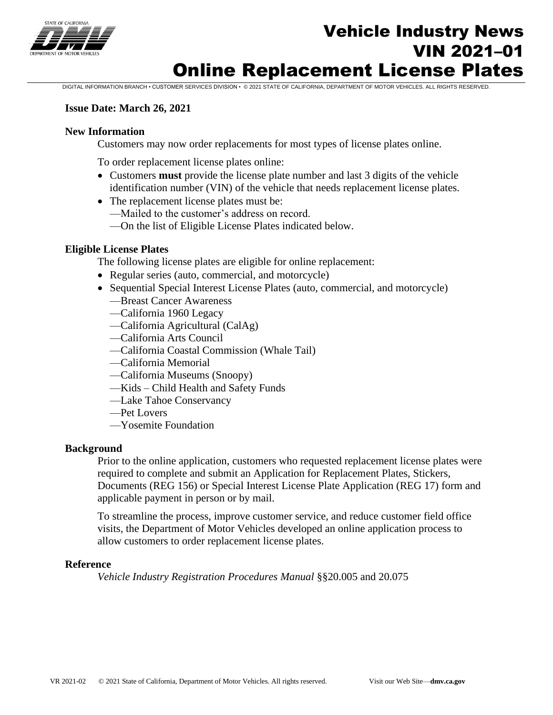

# Vehicle Industry News VIN 2021–01 Online Replacement License Plates

DIGITAL INFORMATION BRANCH • CUSTOMER SERVICES DIVISION • © 2021 STATE OF CALIFORNIA, DEPARTMENT OF MOTOR VEHICLES. ALL RIGHTS RESERVED.

#### **Issue Date: March 26, 2021**

#### **New Information**

Customers may now order replacements for most types of license plates online.

To order replacement license plates online:

- Customers **must** provide the license plate number and last 3 digits of the vehicle identification number (VIN) of the vehicle that needs replacement license plates.
- The replacement license plates must be:
	- —Mailed to the customer's address on record.
	- —On the list of Eligible License Plates indicated below.

#### **Eligible License Plates**

The following license plates are eligible for online replacement:

- Regular series (auto, commercial, and motorcycle)
- Sequential Special Interest License Plates (auto, commercial, and motorcycle)
	- —Breast Cancer Awareness
	- —California 1960 Legacy
	- —California Agricultural (CalAg)
	- —California Arts Council
	- —California Coastal Commission (Whale Tail)
	- —California Memorial
	- —California Museums (Snoopy)
	- —Kids Child Health and Safety Funds
	- —Lake Tahoe Conservancy
	- —Pet Lovers
	- —Yosemite Foundation

#### **Background**

Prior to the online application, customers who requested replacement license plates were required to complete and submit an Application for Replacement Plates, Stickers, Documents (REG 156) or Special Interest License Plate Application (REG 17) form and applicable payment in person or by mail.

To streamline the process, improve customer service, and reduce customer field office visits, the Department of Motor Vehicles developed an online application process to allow customers to order replacement license plates.

#### **Reference**

*Vehicle Industry Registration Procedures Manual* §§20.005 and 20.075